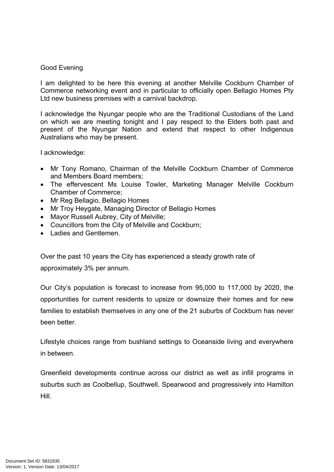## Good Evening

I am delighted to be here this evening at another Melville Cockburn Chamber of Commerce networking event and in particular to officially open Bellagio Homes Pty Ltd new business premises with a carnival backdrop.

I acknowledge the Nyungar people who are the Traditional Custodians of the Land on which we are meeting tonight and I pay respect to the Elders both past and present of the Nyungar Nation and extend that respect to other Indigenous Australians who may be present.

I acknowledge:

- Mr Tony Romano, Chairman of the Melville Cockburn Chamber of Commerce and Members Board members;
- The effervescent Ms Louise Towler, Marketing Manager Melville Cockburn Chamber of Commerce;
- Mr Reg Bellagio, Bellagio Homes
- Mr Troy Heygate, Managing Director of Bellagio Homes
- Mayor Russell Aubrey, City of Melville;
- Councillors from the City of Melville and Cockburn;
- $\bullet$  Ladies and Gentlemen

Over the past 10 years the City has experienced a steady growth rate of approximately 3% per annum.

Our City's population is forecast to increase from 95,000 to 117,000 by 2020, the opportunities for current residents to upsize or downsize their homes and for new families to establish themselves in any one of the 21 suburbs of Cockburn has never been better.

Lifestyle choices range from bushland settings to Oceanside living and everywhere in between.

Greenfield developments continue across our district as well as infill programs in suburbs such as Coolbellup, Southwell, Spearwood and progressively into Hamilton Hill.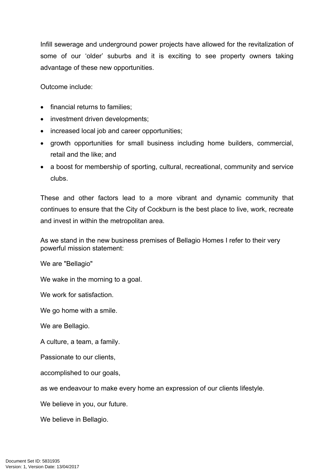Infill sewerage and underground power projects have allowed for the revitalization of some of our 'older' suburbs and it is exciting to see property owners taking advantage of these new opportunities.

Outcome include:

- financial returns to families;
- investment driven developments;
- increased local job and career opportunities;
- growth opportunities for small business including home builders, commercial, retail and the like; and
- a boost for membership of sporting, cultural, recreational, community and service clubs.

These and other factors lead to a more vibrant and dynamic community that continues to ensure that the City of Cockburn is the best place to live, work, recreate and invest in within the metropolitan area.

As we stand in the new business premises of Bellagio Homes I refer to their very powerful mission statement:

We are "Bellagio"

We wake in the morning to a goal.

We work for satisfaction.

We go home with a smile.

We are Bellagio.

A culture, a team, a family.

Passionate to our clients,

accomplished to our goals,

as we endeavour to make every home an expression of our clients lifestyle.

We believe in you, our future.

We believe in Bellagio.